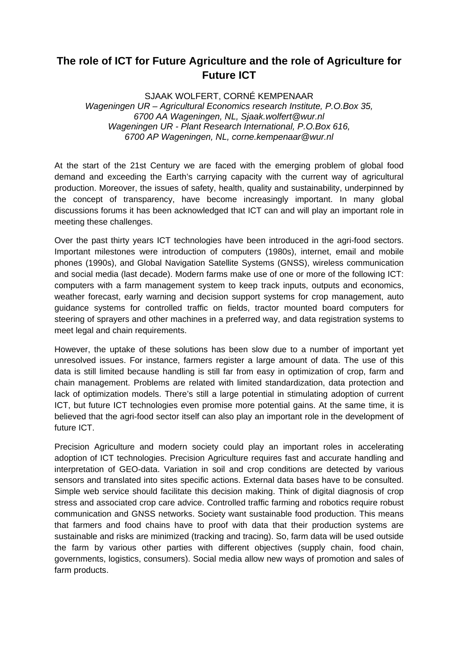## **The role of ICT for Future Agriculture and the role of Agriculture for Future ICT**

SJAAK WOLFERT, CORNÉ KEMPENAAR *Wageningen UR – Agricultural Economics research Institute, P.O.Box 35, 6700 AA Wageningen, NL, Sjaak.wolfert@wur.nl Wageningen UR - Plant Research International, P.O.Box 616, 6700 AP Wageningen, NL, corne.kempenaar@wur.nl*

At the start of the 21st Century we are faced with the emerging problem of global food demand and exceeding the Earth's carrying capacity with the current way of agricultural production. Moreover, the issues of safety, health, quality and sustainability, underpinned by the concept of transparency, have become increasingly important. In many global discussions forums it has been acknowledged that ICT can and will play an important role in meeting these challenges.

Over the past thirty years ICT technologies have been introduced in the agri-food sectors. Important milestones were introduction of computers (1980s), internet, email and mobile phones (1990s), and Global Navigation Satellite Systems (GNSS), wireless communication and social media (last decade). Modern farms make use of one or more of the following ICT: computers with a farm management system to keep track inputs, outputs and economics, weather forecast, early warning and decision support systems for crop management, auto guidance systems for controlled traffic on fields, tractor mounted board computers for steering of sprayers and other machines in a preferred way, and data registration systems to meet legal and chain requirements.

However, the uptake of these solutions has been slow due to a number of important yet unresolved issues. For instance, farmers register a large amount of data. The use of this data is still limited because handling is still far from easy in optimization of crop, farm and chain management. Problems are related with limited standardization, data protection and lack of optimization models. There's still a large potential in stimulating adoption of current ICT, but future ICT technologies even promise more potential gains. At the same time, it is believed that the agri-food sector itself can also play an important role in the development of future ICT.

Precision Agriculture and modern society could play an important roles in accelerating adoption of ICT technologies. Precision Agriculture requires fast and accurate handling and interpretation of GEO-data. Variation in soil and crop conditions are detected by various sensors and translated into sites specific actions. External data bases have to be consulted. Simple web service should facilitate this decision making. Think of digital diagnosis of crop stress and associated crop care advice. Controlled traffic farming and robotics require robust communication and GNSS networks. Society want sustainable food production. This means that farmers and food chains have to proof with data that their production systems are sustainable and risks are minimized (tracking and tracing). So, farm data will be used outside the farm by various other parties with different objectives (supply chain, food chain, governments, logistics, consumers). Social media allow new ways of promotion and sales of farm products.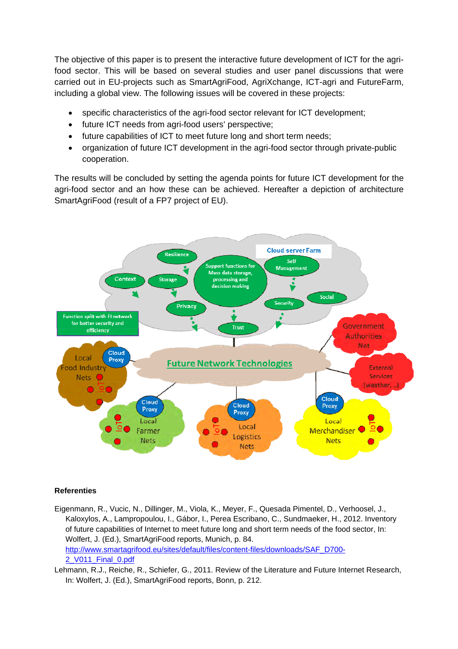The objective of this paper is to present the interactive future development of ICT for the agrifood sector. This will be based on several studies and user panel discussions that were carried out in EU-projects such as SmartAgriFood, AgriXchange, ICT-agri and FutureFarm, including a global view. The following issues will be covered in these projects:

- specific characteristics of the agri-food sector relevant for ICT development;
- future ICT needs from agri-food users' perspective;
- future capabilities of ICT to meet future long and short term needs;
- organization of future ICT development in the agri-food sector through private-public cooperation.

The results will be concluded by setting the agenda points for future ICT development for the agri-food sector and an how these can be achieved. Hereafter a depiction of architecture SmartAgriFood (result of a FP7 project of EU).



## **Referenties**

Eigenmann, R., Vucic, N., Dillinger, M., Viola, K., Meyer, F., Quesada Pimentel, D., Verhoosel, J., Kaloxylos, A., Lampropoulou, I., Gábor, I., Perea Escribano, C., Sundmaeker, H., 2012. Inventory of future capabilities of Internet to meet future long and short term needs of the food sector, In: Wolfert, J. (Ed.), SmartAgriFood reports, Munich, p. 84. http://www.smartagrifood.eu/sites/default/files/content-files/downloads/SAF\_D700- 2\_V011\_Final\_0.pdf

Lehmann, R.J., Reiche, R., Schiefer, G., 2011. Review of the Literature and Future Internet Research, In: Wolfert, J. (Ed.), SmartAgriFood reports, Bonn, p. 212.